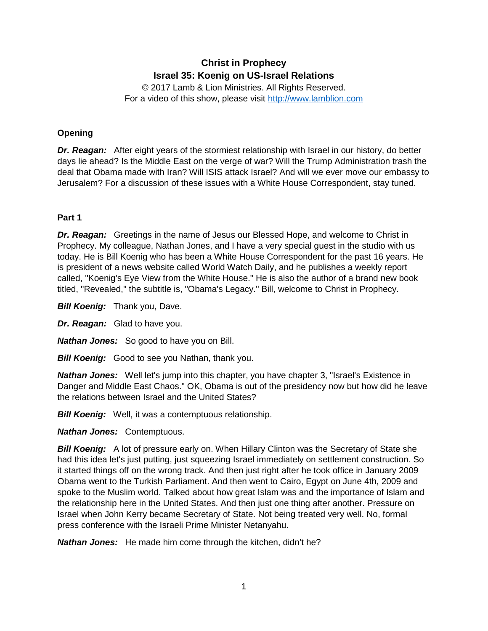# **Christ in Prophecy Israel 35: Koenig on US-Israel Relations**

© 2017 Lamb & Lion Ministries. All Rights Reserved. For a video of this show, please visit [http://www.lamblion.com](http://www.lamblion.com/)

# **Opening**

*Dr. Reagan:* After eight years of the stormiest relationship with Israel in our history, do better days lie ahead? Is the Middle East on the verge of war? Will the Trump Administration trash the deal that Obama made with Iran? Will ISIS attack Israel? And will we ever move our embassy to Jerusalem? For a discussion of these issues with a White House Correspondent, stay tuned.

# **Part 1**

*Dr. Reagan:* Greetings in the name of Jesus our Blessed Hope, and welcome to Christ in Prophecy. My colleague, Nathan Jones, and I have a very special guest in the studio with us today. He is Bill Koenig who has been a White House Correspondent for the past 16 years. He is president of a news website called World Watch Daily, and he publishes a weekly report called, "Koenig's Eye View from the White House." He is also the author of a brand new book titled, "Revealed," the subtitle is, "Obama's Legacy." Bill, welcome to Christ in Prophecy.

**Bill Koenig:** Thank you, Dave.

*Dr. Reagan:* Glad to have you.

*Nathan Jones:* So good to have you on Bill.

*Bill Koenig:* Good to see you Nathan, thank you.

*Nathan Jones:* Well let's jump into this chapter, you have chapter 3, "Israel's Existence in Danger and Middle East Chaos." OK, Obama is out of the presidency now but how did he leave the relations between Israel and the United States?

*Bill Koenig:* Well, it was a contemptuous relationship.

*Nathan Jones:* Contemptuous.

**Bill Koenig:** A lot of pressure early on. When Hillary Clinton was the Secretary of State she had this idea let's just putting, just squeezing Israel immediately on settlement construction. So it started things off on the wrong track. And then just right after he took office in January 2009 Obama went to the Turkish Parliament. And then went to Cairo, Egypt on June 4th, 2009 and spoke to the Muslim world. Talked about how great Islam was and the importance of Islam and the relationship here in the United States. And then just one thing after another. Pressure on Israel when John Kerry became Secretary of State. Not being treated very well. No, formal press conference with the Israeli Prime Minister Netanyahu.

*Nathan Jones:* He made him come through the kitchen, didn't he?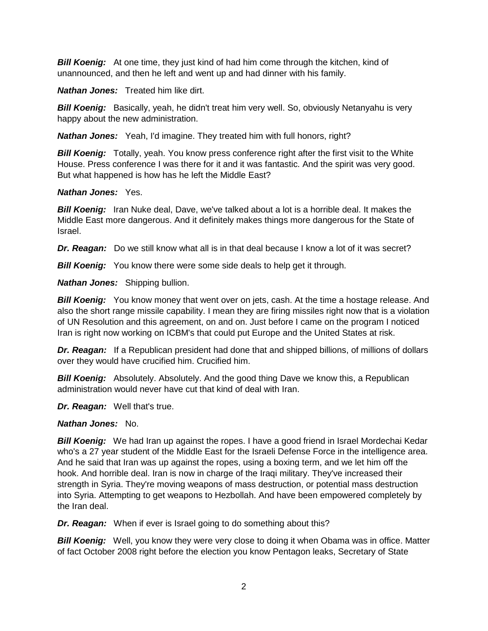*Bill Koenig:* At one time, they just kind of had him come through the kitchen, kind of unannounced, and then he left and went up and had dinner with his family.

*Nathan Jones:* Treated him like dirt.

**Bill Koenig:** Basically, yeah, he didn't treat him very well. So, obviously Netanyahu is very happy about the new administration.

*Nathan Jones:* Yeah, I'd imagine. They treated him with full honors, right?

**Bill Koenig:** Totally, yeah. You know press conference right after the first visit to the White House. Press conference I was there for it and it was fantastic. And the spirit was very good. But what happened is how has he left the Middle East?

#### *Nathan Jones:* Yes.

*Bill Koenig:* Iran Nuke deal, Dave, we've talked about a lot is a horrible deal. It makes the Middle East more dangerous. And it definitely makes things more dangerous for the State of Israel.

*Dr. Reagan:* Do we still know what all is in that deal because I know a lot of it was secret?

**Bill Koenig:** You know there were some side deals to help get it through.

*Nathan Jones:* Shipping bullion.

**Bill Koenig:** You know money that went over on jets, cash. At the time a hostage release. And also the short range missile capability. I mean they are firing missiles right now that is a violation of UN Resolution and this agreement, on and on. Just before I came on the program I noticed Iran is right now working on ICBM's that could put Europe and the United States at risk.

**Dr. Reagan:** If a Republican president had done that and shipped billions, of millions of dollars over they would have crucified him. Crucified him.

*Bill Koenig:* Absolutely. Absolutely. And the good thing Dave we know this, a Republican administration would never have cut that kind of deal with Iran.

*Dr. Reagan:* Well that's true.

# *Nathan Jones:* No.

**Bill Koenig:** We had Iran up against the ropes. I have a good friend in Israel Mordechai Kedar who's a 27 year student of the Middle East for the Israeli Defense Force in the intelligence area. And he said that Iran was up against the ropes, using a boxing term, and we let him off the hook. And horrible deal. Iran is now in charge of the Iraqi military. They've increased their strength in Syria. They're moving weapons of mass destruction, or potential mass destruction into Syria. Attempting to get weapons to Hezbollah. And have been empowered completely by the Iran deal.

*Dr. Reagan:* When if ever is Israel going to do something about this?

**Bill Koenig:** Well, you know they were very close to doing it when Obama was in office. Matter of fact October 2008 right before the election you know Pentagon leaks, Secretary of State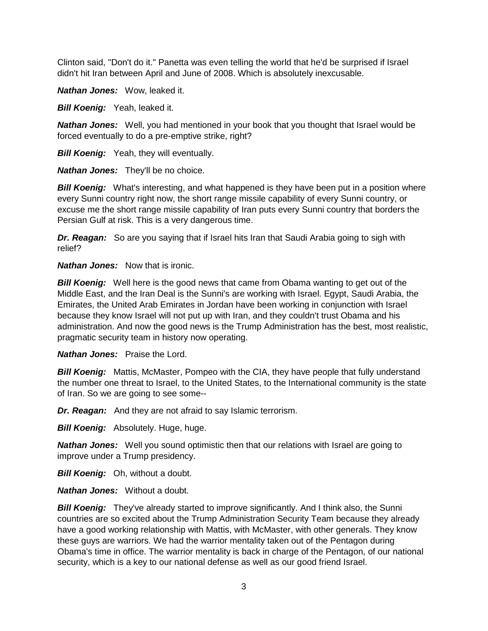Clinton said, "Don't do it." Panetta was even telling the world that he'd be surprised if Israel didn't hit Iran between April and June of 2008. Which is absolutely inexcusable.

*Nathan Jones:* Wow, leaked it.

**Bill Koenig:** Yeah, leaked it.

*Nathan Jones:* Well, you had mentioned in your book that you thought that Israel would be forced eventually to do a pre-emptive strike, right?

**Bill Koenig:** Yeah, they will eventually.

*Nathan Jones:* They'll be no choice.

**Bill Koenig:** What's interesting, and what happened is they have been put in a position where every Sunni country right now, the short range missile capability of every Sunni country, or excuse me the short range missile capability of Iran puts every Sunni country that borders the Persian Gulf at risk. This is a very dangerous time.

*Dr. Reagan:* So are you saying that if Israel hits Iran that Saudi Arabia going to sigh with relief?

*Nathan Jones:* Now that is ironic.

*Bill Koenig:* Well here is the good news that came from Obama wanting to get out of the Middle East, and the Iran Deal is the Sunni's are working with Israel. Egypt, Saudi Arabia, the Emirates, the United Arab Emirates in Jordan have been working in conjunction with Israel because they know Israel will not put up with Iran, and they couldn't trust Obama and his administration. And now the good news is the Trump Administration has the best, most realistic, pragmatic security team in history now operating.

*Nathan Jones:* Praise the Lord.

*Bill Koenig:* Mattis, McMaster, Pompeo with the CIA, they have people that fully understand the number one threat to Israel, to the United States, to the International community is the state of Iran. So we are going to see some--

*Dr. Reagan:* And they are not afraid to say Islamic terrorism.

*Bill Koenig: Absolutely. Huge, huge.* 

*Nathan Jones:* Well you sound optimistic then that our relations with Israel are going to improve under a Trump presidency.

**Bill Koenig:** Oh, without a doubt.

*Nathan Jones:* Without a doubt.

**Bill Koenig:** They've already started to improve significantly. And I think also, the Sunni countries are so excited about the Trump Administration Security Team because they already have a good working relationship with Mattis, with McMaster, with other generals. They know these guys are warriors. We had the warrior mentality taken out of the Pentagon during Obama's time in office. The warrior mentality is back in charge of the Pentagon, of our national security, which is a key to our national defense as well as our good friend Israel.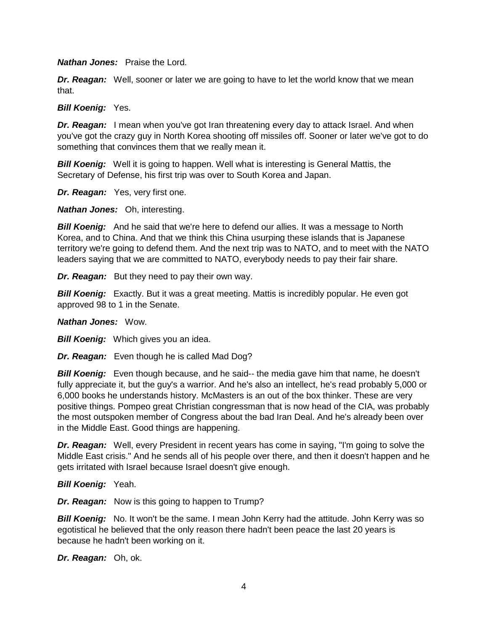*Nathan Jones:* Praise the Lord.

*Dr. Reagan:* Well, sooner or later we are going to have to let the world know that we mean that.

*Bill Koenig:* Yes.

**Dr. Reagan:** I mean when you've got Iran threatening every day to attack Israel. And when you've got the crazy guy in North Korea shooting off missiles off. Sooner or later we've got to do something that convinces them that we really mean it.

*Bill Koenig:* Well it is going to happen. Well what is interesting is General Mattis, the Secretary of Defense, his first trip was over to South Korea and Japan.

*Dr. Reagan:* Yes, very first one.

*Nathan Jones:* Oh, interesting.

*Bill Koenig:* And he said that we're here to defend our allies. It was a message to North Korea, and to China. And that we think this China usurping these islands that is Japanese territory we're going to defend them. And the next trip was to NATO, and to meet with the NATO leaders saying that we are committed to NATO, everybody needs to pay their fair share.

*Dr. Reagan:* But they need to pay their own way.

**Bill Koenig:** Exactly. But it was a great meeting. Mattis is incredibly popular. He even got approved 98 to 1 in the Senate.

#### *Nathan Jones:* Wow.

*Bill Koenig:* Which gives you an idea.

*Dr. Reagan:* Even though he is called Mad Dog?

**Bill Koenig:** Even though because, and he said-- the media gave him that name, he doesn't fully appreciate it, but the guy's a warrior. And he's also an intellect, he's read probably 5,000 or 6,000 books he understands history. McMasters is an out of the box thinker. These are very positive things. Pompeo great Christian congressman that is now head of the CIA, was probably the most outspoken member of Congress about the bad Iran Deal. And he's already been over in the Middle East. Good things are happening.

*Dr. Reagan:* Well, every President in recent years has come in saying, "I'm going to solve the Middle East crisis." And he sends all of his people over there, and then it doesn't happen and he gets irritated with Israel because Israel doesn't give enough.

*Bill Koenig:* Yeah.

*Dr. Reagan:* Now is this going to happen to Trump?

*Bill Koenig:* No. It won't be the same. I mean John Kerry had the attitude. John Kerry was so egotistical he believed that the only reason there hadn't been peace the last 20 years is because he hadn't been working on it.

*Dr. Reagan:* Oh, ok.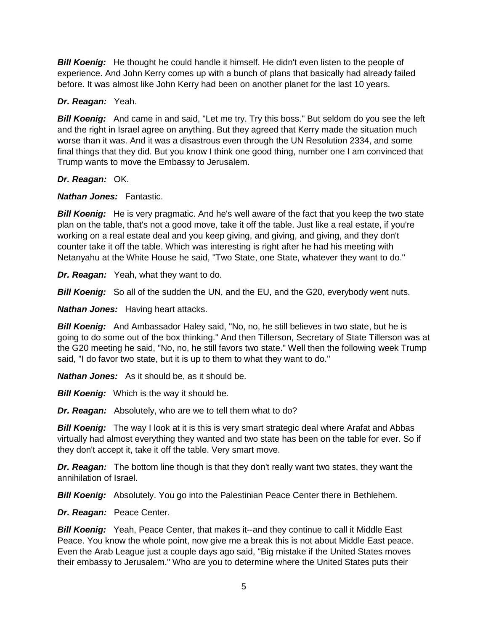**Bill Koenig:** He thought he could handle it himself. He didn't even listen to the people of experience. And John Kerry comes up with a bunch of plans that basically had already failed before. It was almost like John Kerry had been on another planet for the last 10 years.

# *Dr. Reagan:* Yeah.

**Bill Koenig:** And came in and said, "Let me try. Try this boss." But seldom do you see the left and the right in Israel agree on anything. But they agreed that Kerry made the situation much worse than it was. And it was a disastrous even through the UN Resolution 2334, and some final things that they did. But you know I think one good thing, number one I am convinced that Trump wants to move the Embassy to Jerusalem.

# *Dr. Reagan:* OK.

# *Nathan Jones:* Fantastic.

*Bill Koenig:* He is very pragmatic. And he's well aware of the fact that you keep the two state plan on the table, that's not a good move, take it off the table. Just like a real estate, if you're working on a real estate deal and you keep giving, and giving, and giving, and they don't counter take it off the table. Which was interesting is right after he had his meeting with Netanyahu at the White House he said, "Two State, one State, whatever they want to do."

*Dr. Reagan:* Yeah, what they want to do.

*Bill Koenig:* So all of the sudden the UN, and the EU, and the G20, everybody went nuts.

*Nathan Jones:* Having heart attacks.

*Bill Koenig:* And Ambassador Haley said, "No, no, he still believes in two state, but he is going to do some out of the box thinking." And then Tillerson, Secretary of State Tillerson was at the G20 meeting he said, "No, no, he still favors two state." Well then the following week Trump said, "I do favor two state, but it is up to them to what they want to do."

*Nathan Jones:* As it should be, as it should be.

**Bill Koenig:** Which is the way it should be.

*Dr. Reagan:* Absolutely, who are we to tell them what to do?

**Bill Koenig:** The way I look at it is this is very smart strategic deal where Arafat and Abbas virtually had almost everything they wanted and two state has been on the table for ever. So if they don't accept it, take it off the table. Very smart move.

*Dr. Reagan:* The bottom line though is that they don't really want two states, they want the annihilation of Israel.

**Bill Koenig:** Absolutely. You go into the Palestinian Peace Center there in Bethlehem.

*Dr. Reagan:* Peace Center.

*Bill Koenig:* Yeah, Peace Center, that makes it--and they continue to call it Middle East Peace. You know the whole point, now give me a break this is not about Middle East peace. Even the Arab League just a couple days ago said, "Big mistake if the United States moves their embassy to Jerusalem." Who are you to determine where the United States puts their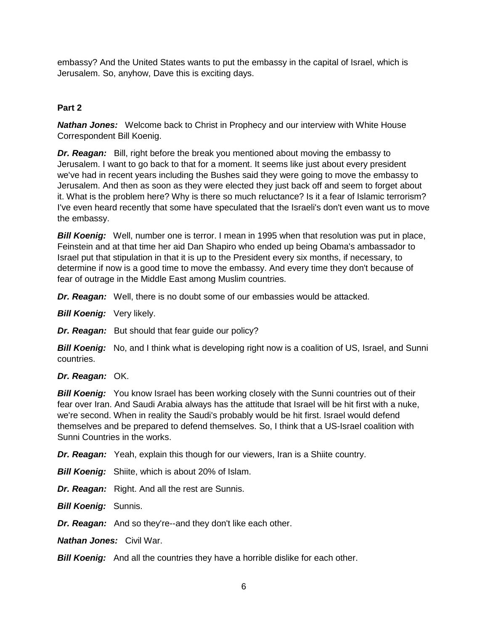embassy? And the United States wants to put the embassy in the capital of Israel, which is Jerusalem. So, anyhow, Dave this is exciting days.

# **Part 2**

*Nathan Jones:* Welcome back to Christ in Prophecy and our interview with White House Correspondent Bill Koenig.

*Dr. Reagan:* Bill, right before the break you mentioned about moving the embassy to Jerusalem. I want to go back to that for a moment. It seems like just about every president we've had in recent years including the Bushes said they were going to move the embassy to Jerusalem. And then as soon as they were elected they just back off and seem to forget about it. What is the problem here? Why is there so much reluctance? Is it a fear of Islamic terrorism? I've even heard recently that some have speculated that the Israeli's don't even want us to move the embassy.

**Bill Koenig:** Well, number one is terror. I mean in 1995 when that resolution was put in place, Feinstein and at that time her aid Dan Shapiro who ended up being Obama's ambassador to Israel put that stipulation in that it is up to the President every six months, if necessary, to determine if now is a good time to move the embassy. And every time they don't because of fear of outrage in the Middle East among Muslim countries.

*Dr. Reagan:* Well, there is no doubt some of our embassies would be attacked.

*Bill Koenig:* Very likely.

*Dr. Reagan:* But should that fear guide our policy?

**Bill Koenig:** No, and I think what is developing right now is a coalition of US, Israel, and Sunni countries.

*Dr. Reagan:* OK.

**Bill Koenig:** You know Israel has been working closely with the Sunni countries out of their fear over Iran. And Saudi Arabia always has the attitude that Israel will be hit first with a nuke, we're second. When in reality the Saudi's probably would be hit first. Israel would defend themselves and be prepared to defend themselves. So, I think that a US-Israel coalition with Sunni Countries in the works.

*Dr. Reagan:* Yeah, explain this though for our viewers, Iran is a Shiite country.

*Bill Koenig:* Shiite, which is about 20% of Islam.

*Dr. Reagan:* Right. And all the rest are Sunnis.

*Bill Koenig:* Sunnis.

*Dr. Reagan:* And so they're--and they don't like each other.

*Nathan Jones:* Civil War.

**Bill Koenig:** And all the countries they have a horrible dislike for each other.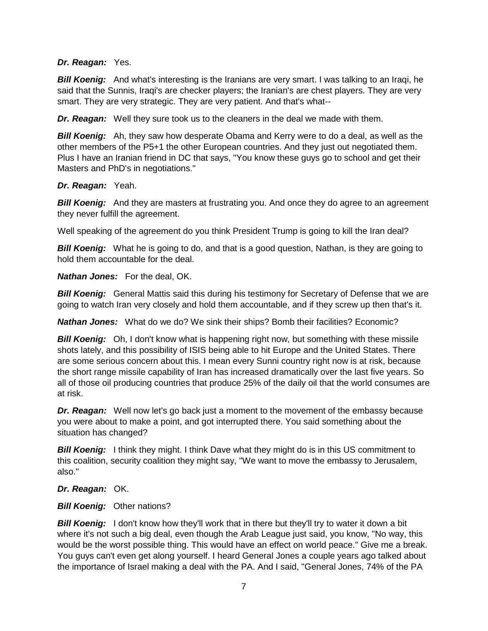#### *Dr. Reagan:* Yes.

*Bill Koenig:* And what's interesting is the Iranians are very smart. I was talking to an Iraqi, he said that the Sunnis, Iraqi's are checker players; the Iranian's are chest players. They are very smart. They are very strategic. They are very patient. And that's what--

*Dr. Reagan:* Well they sure took us to the cleaners in the deal we made with them.

*Bill Koenig:* Ah, they saw how desperate Obama and Kerry were to do a deal, as well as the other members of the P5+1 the other European countries. And they just out negotiated them. Plus I have an Iranian friend in DC that says, "You know these guys go to school and get their Masters and PhD's in negotiations."

#### *Dr. Reagan:* Yeah.

**Bill Koenig:** And they are masters at frustrating you. And once they do agree to an agreement they never fulfill the agreement.

Well speaking of the agreement do you think President Trump is going to kill the Iran deal?

**Bill Koenig:** What he is going to do, and that is a good question, Nathan, is they are going to hold them accountable for the deal.

*Nathan Jones:* For the deal, OK.

**Bill Koenig:** General Mattis said this during his testimony for Secretary of Defense that we are going to watch Iran very closely and hold them accountable, and if they screw up then that's it.

*Nathan Jones:* What do we do? We sink their ships? Bomb their facilities? Economic?

*Bill Koenig:* Oh, I don't know what is happening right now, but something with these missile shots lately, and this possibility of ISIS being able to hit Europe and the United States. There are some serious concern about this. I mean every Sunni country right now is at risk, because the short range missile capability of Iran has increased dramatically over the last five years. So all of those oil producing countries that produce 25% of the daily oil that the world consumes are at risk.

*Dr. Reagan:* Well now let's go back just a moment to the movement of the embassy because you were about to make a point, and got interrupted there. You said something about the situation has changed?

*Bill Koenig:* I think they might. I think Dave what they might do is in this US commitment to this coalition, security coalition they might say, "We want to move the embassy to Jerusalem, also."

*Dr. Reagan:* OK.

*Bill Koenig:* Other nations?

**Bill Koenig:** I don't know how they'll work that in there but they'll try to water it down a bit where it's not such a big deal, even though the Arab League just said, you know, "No way, this would be the worst possible thing. This would have an effect on world peace." Give me a break. You guys can't even get along yourself. I heard General Jones a couple years ago talked about the importance of Israel making a deal with the PA. And I said, "General Jones, 74% of the PA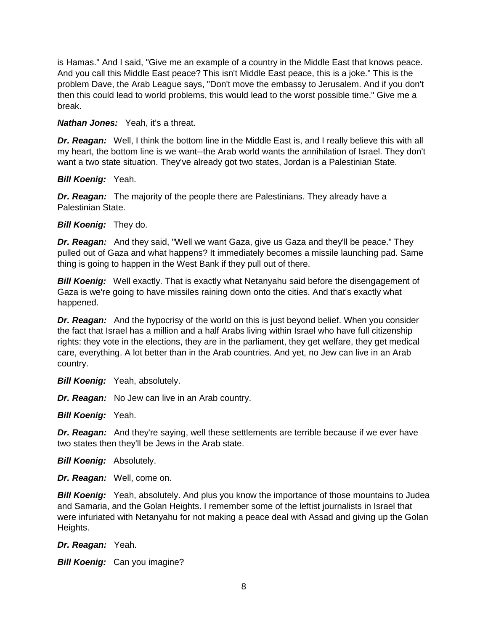is Hamas." And I said, "Give me an example of a country in the Middle East that knows peace. And you call this Middle East peace? This isn't Middle East peace, this is a joke." This is the problem Dave, the Arab League says, "Don't move the embassy to Jerusalem. And if you don't then this could lead to world problems, this would lead to the worst possible time." Give me a break.

*Nathan Jones:* Yeah, it's a threat.

**Dr. Reagan:** Well, I think the bottom line in the Middle East is, and I really believe this with all my heart, the bottom line is we want--the Arab world wants the annihilation of Israel. They don't want a two state situation. They've already got two states, Jordan is a Palestinian State.

*Bill Koenig:* Yeah.

*Dr. Reagan:* The majority of the people there are Palestinians. They already have a Palestinian State.

*Bill Koenig:* They do.

*Dr. Reagan:* And they said, "Well we want Gaza, give us Gaza and they'll be peace." They pulled out of Gaza and what happens? It immediately becomes a missile launching pad. Same thing is going to happen in the West Bank if they pull out of there.

**Bill Koenig:** Well exactly. That is exactly what Netanyahu said before the disengagement of Gaza is we're going to have missiles raining down onto the cities. And that's exactly what happened.

*Dr. Reagan:* And the hypocrisy of the world on this is just beyond belief. When you consider the fact that Israel has a million and a half Arabs living within Israel who have full citizenship rights: they vote in the elections, they are in the parliament, they get welfare, they get medical care, everything. A lot better than in the Arab countries. And yet, no Jew can live in an Arab country.

**Bill Koenig:** Yeah, absolutely.

*Dr. Reagan:* No Jew can live in an Arab country.

*Bill Koenig:* Yeah.

*Dr. Reagan:* And they're saying, well these settlements are terrible because if we ever have two states then they'll be Jews in the Arab state.

*Bill Koenig:* Absolutely.

*Dr. Reagan:* Well, come on.

**Bill Koenig:** Yeah, absolutely. And plus you know the importance of those mountains to Judea and Samaria, and the Golan Heights. I remember some of the leftist journalists in Israel that were infuriated with Netanyahu for not making a peace deal with Assad and giving up the Golan Heights.

*Dr. Reagan:* Yeah.

**Bill Koenig:** Can you imagine?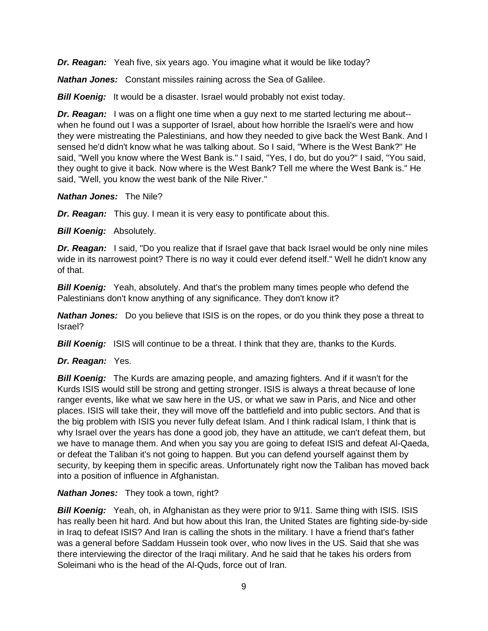*Dr. Reagan:* Yeah five, six years ago. You imagine what it would be like today?

*Nathan Jones:* Constant missiles raining across the Sea of Galilee.

*Bill Koenig:* It would be a disaster. Israel would probably not exist today.

*Dr. Reagan:* I was on a flight one time when a guy next to me started lecturing me about-when he found out I was a supporter of Israel, about how horrible the Israeli's were and how they were mistreating the Palestinians, and how they needed to give back the West Bank. And I sensed he'd didn't know what he was talking about. So I said, "Where is the West Bank?" He said, "Well you know where the West Bank is." I said, "Yes, I do, but do you?" I said, "You said, they ought to give it back. Now where is the West Bank? Tell me where the West Bank is." He said, "Well, you know the west bank of the Nile River."

#### *Nathan Jones:* The Nile?

*Dr. Reagan:* This guy. I mean it is very easy to pontificate about this.

*Bill Koenig: Absolutely.* 

*Dr. Reagan:* I said, "Do you realize that if Israel gave that back Israel would be only nine miles wide in its narrowest point? There is no way it could ever defend itself." Well he didn't know any of that.

*Bill Koenig:* Yeah, absolutely. And that's the problem many times people who defend the Palestinians don't know anything of any significance. They don't know it?

*Nathan Jones:* Do you believe that ISIS is on the ropes, or do you think they pose a threat to Israel?

**Bill Koenig:** ISIS will continue to be a threat. I think that they are, thanks to the Kurds.

# *Dr. Reagan:* Yes.

*Bill Koenig:* The Kurds are amazing people, and amazing fighters. And if it wasn't for the Kurds ISIS would still be strong and getting stronger. ISIS is always a threat because of lone ranger events, like what we saw here in the US, or what we saw in Paris, and Nice and other places. ISIS will take their, they will move off the battlefield and into public sectors. And that is the big problem with ISIS you never fully defeat Islam. And I think radical Islam, I think that is why Israel over the years has done a good job, they have an attitude, we can't defeat them, but we have to manage them. And when you say you are going to defeat ISIS and defeat Al-Qaeda, or defeat the Taliban it's not going to happen. But you can defend yourself against them by security, by keeping them in specific areas. Unfortunately right now the Taliban has moved back into a position of influence in Afghanistan.

#### *Nathan Jones:* They took a town, right?

*Bill Koenig:* Yeah, oh, in Afghanistan as they were prior to 9/11. Same thing with ISIS. ISIS has really been hit hard. And but how about this Iran, the United States are fighting side-by-side in Iraq to defeat ISIS? And Iran is calling the shots in the military. I have a friend that's father was a general before Saddam Hussein took over, who now lives in the US. Said that she was there interviewing the director of the Iraqi military. And he said that he takes his orders from Soleimani who is the head of the Al-Quds, force out of Iran.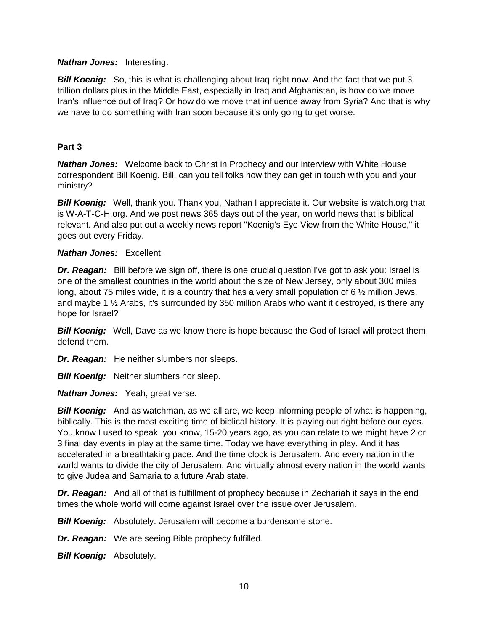#### *Nathan Jones:* Interesting.

**Bill Koenig:** So, this is what is challenging about Irag right now. And the fact that we put 3 trillion dollars plus in the Middle East, especially in Iraq and Afghanistan, is how do we move Iran's influence out of Iraq? Or how do we move that influence away from Syria? And that is why we have to do something with Iran soon because it's only going to get worse.

# **Part 3**

*Nathan Jones:* Welcome back to Christ in Prophecy and our interview with White House correspondent Bill Koenig. Bill, can you tell folks how they can get in touch with you and your ministry?

**Bill Koenig:** Well, thank you. Thank you, Nathan I appreciate it. Our website is watch.org that is W-A-T-C-H.org. And we post news 365 days out of the year, on world news that is biblical relevant. And also put out a weekly news report "Koenig's Eye View from the White House," it goes out every Friday.

#### *Nathan Jones:* Excellent.

**Dr. Reagan:** Bill before we sign off, there is one crucial question I've got to ask you: Israel is one of the smallest countries in the world about the size of New Jersey, only about 300 miles long, about 75 miles wide, it is a country that has a very small population of 6 ½ million Jews, and maybe 1 ½ Arabs, it's surrounded by 350 million Arabs who want it destroyed, is there any hope for Israel?

**Bill Koenig:** Well, Dave as we know there is hope because the God of Israel will protect them, defend them.

*Dr. Reagan:* He neither slumbers nor sleeps.

**Bill Koenig:** Neither slumbers nor sleep.

*Nathan Jones:* Yeah, great verse.

*Bill Koenig:* And as watchman, as we all are, we keep informing people of what is happening, biblically. This is the most exciting time of biblical history. It is playing out right before our eyes. You know I used to speak, you know, 15-20 years ago, as you can relate to we might have 2 or 3 final day events in play at the same time. Today we have everything in play. And it has accelerated in a breathtaking pace. And the time clock is Jerusalem. And every nation in the world wants to divide the city of Jerusalem. And virtually almost every nation in the world wants to give Judea and Samaria to a future Arab state.

*Dr. Reagan:* And all of that is fulfillment of prophecy because in Zechariah it says in the end times the whole world will come against Israel over the issue over Jerusalem.

*Bill Koenig:* Absolutely. Jerusalem will become a burdensome stone.

*Dr. Reagan:* We are seeing Bible prophecy fulfilled.

*Bill Koenig:* Absolutely.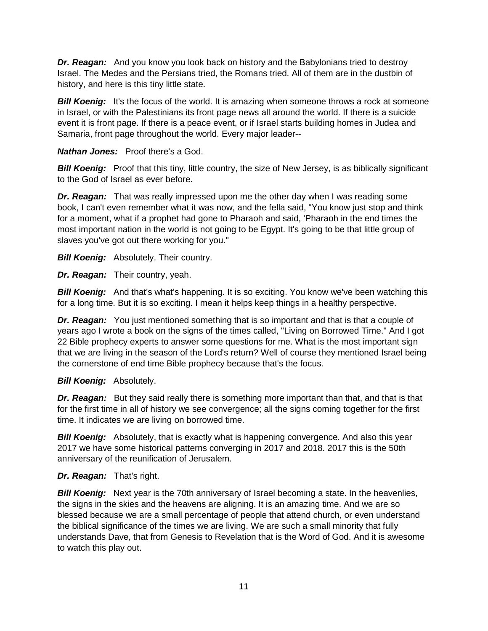*Dr. Reagan:* And you know you look back on history and the Babylonians tried to destroy Israel. The Medes and the Persians tried, the Romans tried. All of them are in the dustbin of history, and here is this tiny little state.

**Bill Koenig:** It's the focus of the world. It is amazing when someone throws a rock at someone in Israel, or with the Palestinians its front page news all around the world. If there is a suicide event it is front page. If there is a peace event, or if Israel starts building homes in Judea and Samaria, front page throughout the world. Every major leader--

*Nathan Jones:* Proof there's a God.

**Bill Koenig:** Proof that this tiny, little country, the size of New Jersey, is as biblically significant to the God of Israel as ever before.

*Dr. Reagan:* That was really impressed upon me the other day when I was reading some book, I can't even remember what it was now, and the fella said, "You know just stop and think for a moment, what if a prophet had gone to Pharaoh and said, 'Pharaoh in the end times the most important nation in the world is not going to be Egypt. It's going to be that little group of slaves you've got out there working for you."

**Bill Koenig:** Absolutely. Their country.

*Dr. Reagan:* Their country, yeah.

**Bill Koenig:** And that's what's happening. It is so exciting. You know we've been watching this for a long time. But it is so exciting. I mean it helps keep things in a healthy perspective.

*Dr. Reagan:* You just mentioned something that is so important and that is that a couple of years ago I wrote a book on the signs of the times called, "Living on Borrowed Time." And I got 22 Bible prophecy experts to answer some questions for me. What is the most important sign that we are living in the season of the Lord's return? Well of course they mentioned Israel being the cornerstone of end time Bible prophecy because that's the focus.

# *Bill Koenig:* Absolutely.

**Dr. Reagan:** But they said really there is something more important than that, and that is that for the first time in all of history we see convergence; all the signs coming together for the first time. It indicates we are living on borrowed time.

*Bill Koenig:* Absolutely, that is exactly what is happening convergence. And also this year 2017 we have some historical patterns converging in 2017 and 2018. 2017 this is the 50th anniversary of the reunification of Jerusalem.

# *Dr. Reagan:* That's right.

*Bill Koenig:* Next year is the 70th anniversary of Israel becoming a state. In the heavenlies, the signs in the skies and the heavens are aligning. It is an amazing time. And we are so blessed because we are a small percentage of people that attend church, or even understand the biblical significance of the times we are living. We are such a small minority that fully understands Dave, that from Genesis to Revelation that is the Word of God. And it is awesome to watch this play out.